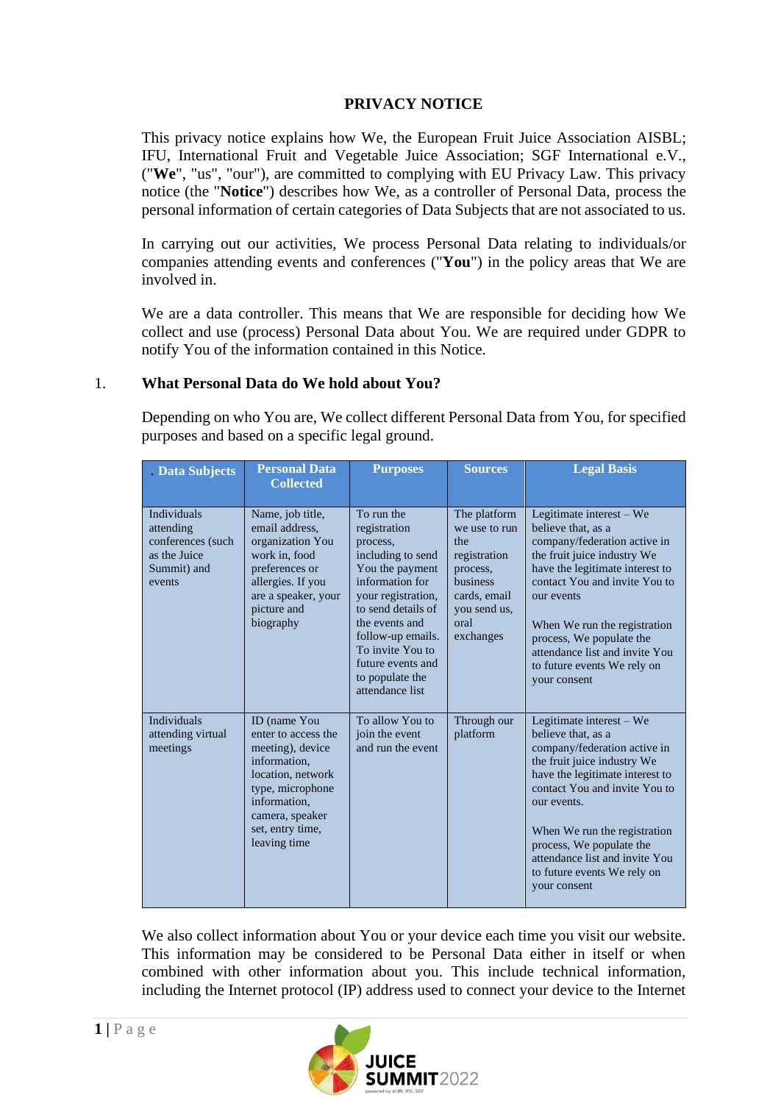# **PRIVACY NOTICE**

This privacy notice explains how We, the European Fruit Juice Association AISBL; IFU, International Fruit and Vegetable Juice Association; SGF International e.V., ("**We**", "us", "our"), are committed to complying with EU Privacy Law. This privacy notice (the "**Notice**") describes how We, as a controller of Personal Data, process the personal information of certain categories of Data Subjects that are not associated to us.

In carrying out our activities, We process Personal Data relating to individuals/or companies attending events and conferences ("**You**") in the policy areas that We are involved in.

We are a data controller. This means that We are responsible for deciding how We collect and use (process) Personal Data about You. We are required under GDPR to notify You of the information contained in this Notice.

### 1. **What Personal Data do We hold about You?**

Depending on who You are, We collect different Personal Data from You, for specified purposes and based on a specific legal ground.

| . Data Subjects                                                                               | <b>Personal Data</b><br><b>Collected</b>                                                                                                                                                | <b>Purposes</b>                                                                                                                                                                                                                                                     | <b>Sources</b>                                                                                                                           | <b>Legal Basis</b>                                                                                                                                                                                                                                                                                                                            |
|-----------------------------------------------------------------------------------------------|-----------------------------------------------------------------------------------------------------------------------------------------------------------------------------------------|---------------------------------------------------------------------------------------------------------------------------------------------------------------------------------------------------------------------------------------------------------------------|------------------------------------------------------------------------------------------------------------------------------------------|-----------------------------------------------------------------------------------------------------------------------------------------------------------------------------------------------------------------------------------------------------------------------------------------------------------------------------------------------|
| <b>Individuals</b><br>attending<br>conferences (such<br>as the Juice<br>Summit) and<br>events | Name, job title,<br>email address.<br>organization You<br>work in, food<br>preferences or<br>allergies. If you<br>are a speaker, your<br>picture and<br>biography                       | To run the<br>registration<br>process,<br>including to send<br>You the payment<br>information for<br>your registration,<br>to send details of<br>the events and<br>follow-up emails.<br>To invite You to<br>future events and<br>to populate the<br>attendance list | The platform<br>we use to run<br>the<br>registration<br>process,<br><b>business</b><br>cards, email<br>you send us,<br>oral<br>exchanges | Legitimate interest - We<br>believe that, as a<br>company/federation active in<br>the fruit juice industry We<br>have the legitimate interest to<br>contact You and invite You to<br>our events<br>When We run the registration<br>process, We populate the<br>attendance list and invite You<br>to future events We rely on<br>your consent  |
| <b>Individuals</b><br>attending virtual<br>meetings                                           | ID (name You<br>enter to access the<br>meeting), device<br>information,<br>location, network<br>type, microphone<br>information.<br>camera, speaker<br>set, entry time,<br>leaving time | To allow You to<br>join the event<br>and run the event                                                                                                                                                                                                              | Through our<br>platform                                                                                                                  | Legitimate interest - We<br>believe that, as a<br>company/federation active in<br>the fruit juice industry We<br>have the legitimate interest to<br>contact You and invite You to<br>our events.<br>When We run the registration<br>process, We populate the<br>attendance list and invite You<br>to future events We rely on<br>your consent |

We also collect information about You or your device each time you visit our website. This information may be considered to be Personal Data either in itself or when combined with other information about you. This include technical information, including the Internet protocol (IP) address used to connect your device to the Internet

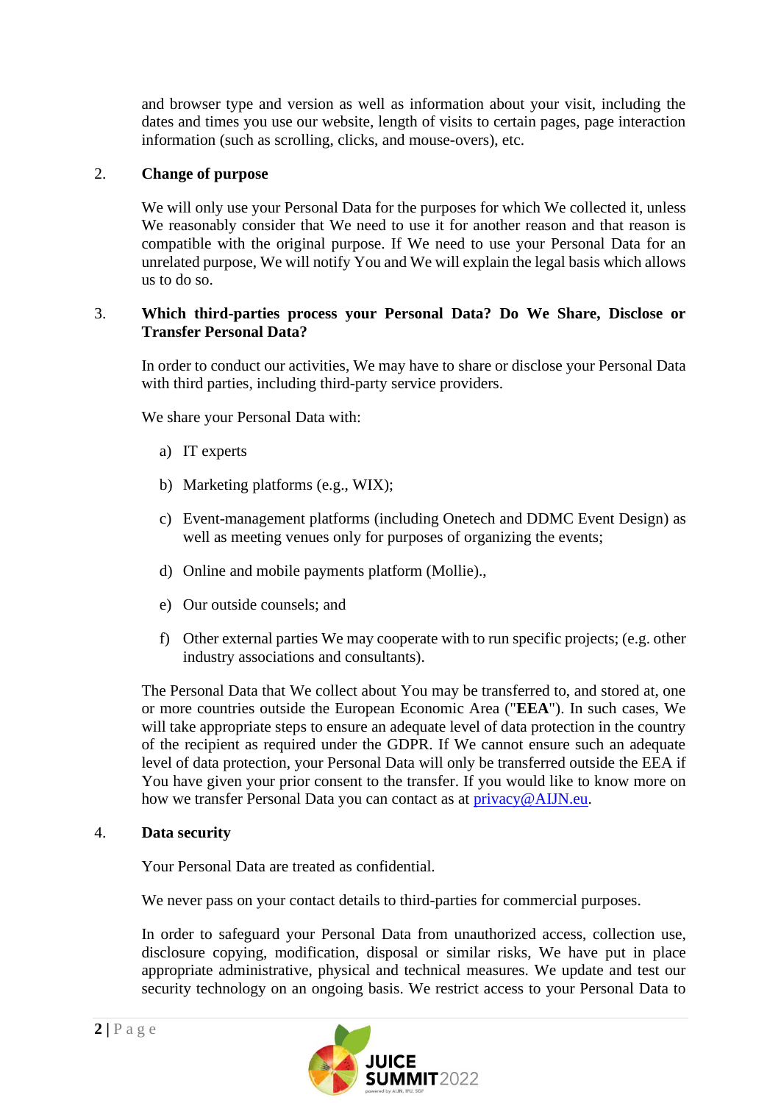and browser type and version as well as information about your visit, including the dates and times you use our website, length of visits to certain pages, page interaction information (such as scrolling, clicks, and mouse-overs), etc.

## 2. **Change of purpose**

We will only use your Personal Data for the purposes for which We collected it, unless We reasonably consider that We need to use it for another reason and that reason is compatible with the original purpose. If We need to use your Personal Data for an unrelated purpose, We will notify You and We will explain the legal basis which allows us to do so.

### 3. **Which third-parties process your Personal Data? Do We Share, Disclose or Transfer Personal Data?**

In order to conduct our activities, We may have to share or disclose your Personal Data with third parties, including third-party service providers.

We share your Personal Data with:

- a) IT experts
- b) Marketing platforms (e.g., WIX);
- c) Event-management platforms (including Onetech and DDMC Event Design) as well as meeting venues only for purposes of organizing the events;
- d) Online and mobile payments platform (Mollie).,
- e) Our outside counsels; and
- f) Other external parties We may cooperate with to run specific projects; (e.g. other industry associations and consultants).

The Personal Data that We collect about You may be transferred to, and stored at, one or more countries outside the European Economic Area ("**EEA**"). In such cases, We will take appropriate steps to ensure an adequate level of data protection in the country of the recipient as required under the GDPR. If We cannot ensure such an adequate level of data protection, your Personal Data will only be transferred outside the EEA if You have given your prior consent to the transfer. If you would like to know more on how we transfer Personal Data you can contact as at [privacy@AIJN.eu.](mailto:privacy@AIJN.eu)

#### 4. **Data security**

Your Personal Data are treated as confidential.

We never pass on your contact details to third-parties for commercial purposes.

In order to safeguard your Personal Data from unauthorized access, collection use, disclosure copying, modification, disposal or similar risks, We have put in place appropriate administrative, physical and technical measures. We update and test our security technology on an ongoing basis. We restrict access to your Personal Data to

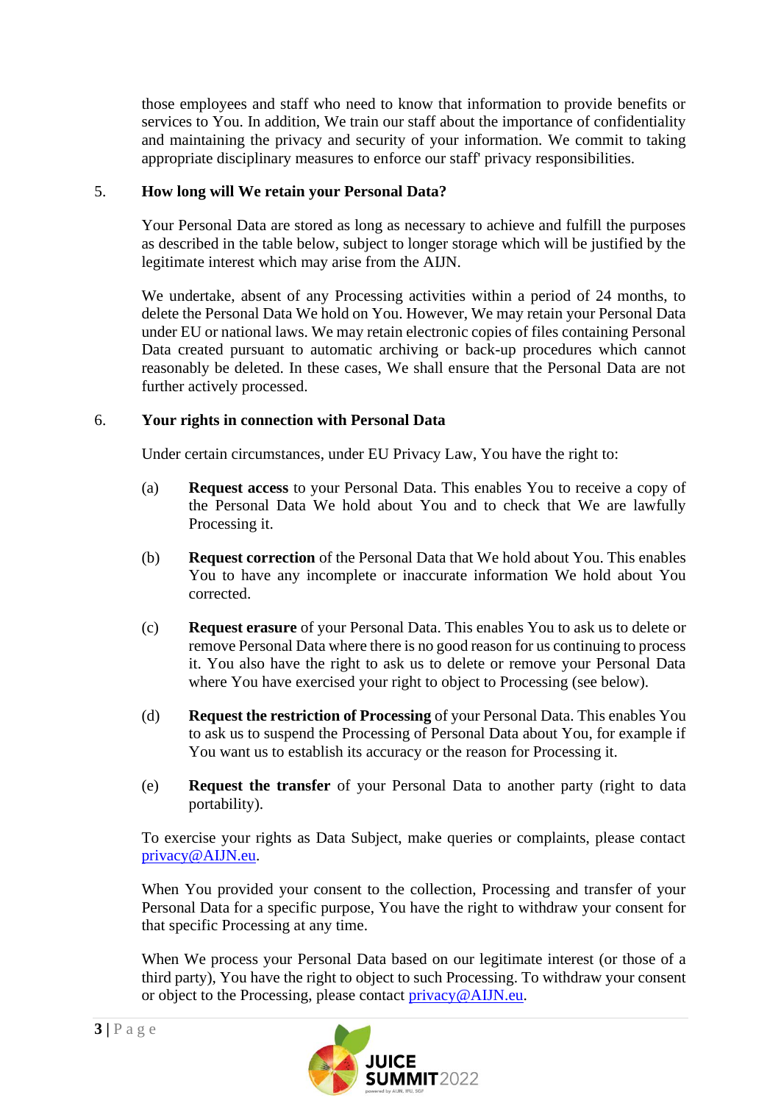those employees and staff who need to know that information to provide benefits or services to You. In addition, We train our staff about the importance of confidentiality and maintaining the privacy and security of your information. We commit to taking appropriate disciplinary measures to enforce our staff' privacy responsibilities.

### 5. **How long will We retain your Personal Data?**

Your Personal Data are stored as long as necessary to achieve and fulfill the purposes as described in the table below, subject to longer storage which will be justified by the legitimate interest which may arise from the AIJN.

We undertake, absent of any Processing activities within a period of 24 months, to delete the Personal Data We hold on You. However, We may retain your Personal Data under EU or national laws. We may retain electronic copies of files containing Personal Data created pursuant to automatic archiving or back-up procedures which cannot reasonably be deleted. In these cases, We shall ensure that the Personal Data are not further actively processed.

#### 6. **Your rights in connection with Personal Data**

Under certain circumstances, under EU Privacy Law, You have the right to:

- (a) **Request access** to your Personal Data. This enables You to receive a copy of the Personal Data We hold about You and to check that We are lawfully Processing it.
- (b) **Request correction** of the Personal Data that We hold about You. This enables You to have any incomplete or inaccurate information We hold about You corrected.
- (c) **Request erasure** of your Personal Data. This enables You to ask us to delete or remove Personal Data where there is no good reason for us continuing to process it. You also have the right to ask us to delete or remove your Personal Data where You have exercised your right to object to Processing (see below).
- (d) **Request the restriction of Processing** of your Personal Data. This enables You to ask us to suspend the Processing of Personal Data about You, for example if You want us to establish its accuracy or the reason for Processing it.
- (e) **Request the transfer** of your Personal Data to another party (right to data portability).

To exercise your rights as Data Subject, make queries or complaints, please contact privacy@AIJN.eu.

When You provided your consent to the collection, Processing and transfer of your Personal Data for a specific purpose, You have the right to withdraw your consent for that specific Processing at any time.

When We process your Personal Data based on our legitimate interest (or those of a third party), You have the right to object to such Processing. To withdraw your consent or object to the Processing, please contact [privacy@AIJN.e](mailto:privacy@AIJN.)u.